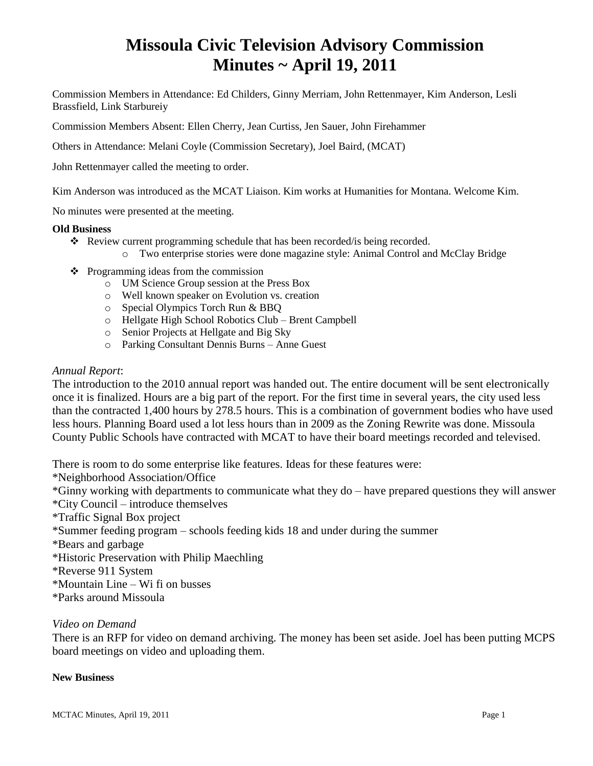# **Missoula Civic Television Advisory Commission Minutes ~ April 19, 2011**

Commission Members in Attendance: Ed Childers, Ginny Merriam, John Rettenmayer, Kim Anderson, Lesli Brassfield, Link Starbureiy

Commission Members Absent: Ellen Cherry, Jean Curtiss, Jen Sauer, John Firehammer

Others in Attendance: Melani Coyle (Commission Secretary), Joel Baird, (MCAT)

John Rettenmayer called the meeting to order.

Kim Anderson was introduced as the MCAT Liaison. Kim works at Humanities for Montana. Welcome Kim.

No minutes were presented at the meeting.

#### **Old Business**

- \* Review current programming schedule that has been recorded/is being recorded.
	- o Two enterprise stories were done magazine style: Animal Control and McClay Bridge
- $\triangleleft$  Programming ideas from the commission
	- o UM Science Group session at the Press Box
	- o Well known speaker on Evolution vs. creation
	- o Special Olympics Torch Run & BBQ
	- o Hellgate High School Robotics Club Brent Campbell
	- o Senior Projects at Hellgate and Big Sky
	- o Parking Consultant Dennis Burns Anne Guest

#### *Annual Report*:

The introduction to the 2010 annual report was handed out. The entire document will be sent electronically once it is finalized. Hours are a big part of the report. For the first time in several years, the city used less than the contracted 1,400 hours by 278.5 hours. This is a combination of government bodies who have used less hours. Planning Board used a lot less hours than in 2009 as the Zoning Rewrite was done. Missoula County Public Schools have contracted with MCAT to have their board meetings recorded and televised.

There is room to do some enterprise like features. Ideas for these features were:

\*Neighborhood Association/Office

\*Ginny working with departments to communicate what they do – have prepared questions they will answer \*City Council – introduce themselves

\*Traffic Signal Box project

\*Summer feeding program – schools feeding kids 18 and under during the summer

\*Bears and garbage

\*Historic Preservation with Philip Maechling

\*Reverse 911 System

\*Mountain Line – Wi fi on busses

\*Parks around Missoula

## *Video on Demand*

There is an RFP for video on demand archiving. The money has been set aside. Joel has been putting MCPS board meetings on video and uploading them.

## **New Business**